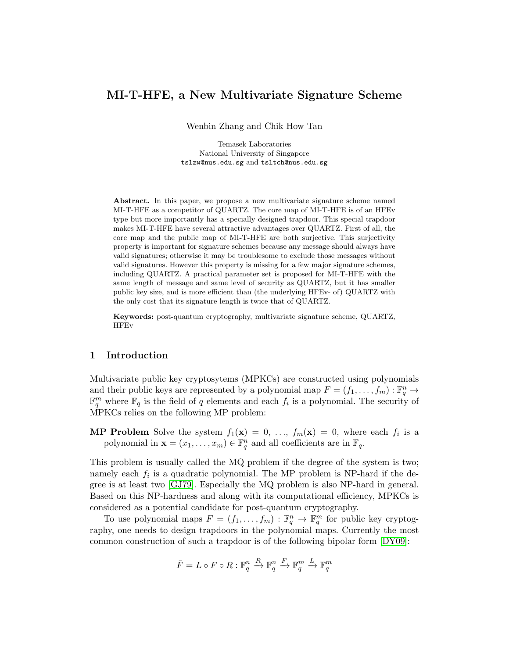# MI-T-HFE, a New Multivariate Signature Scheme

Wenbin Zhang and Chik How Tan

Temasek Laboratories National University of Singapore tslzw@nus.edu.sg and tsltch@nus.edu.sg

Abstract. In this paper, we propose a new multivariate signature scheme named MI-T-HFE as a competitor of QUARTZ. The core map of MI-T-HFE is of an HFEv type but more importantly has a specially designed trapdoor. This special trapdoor makes MI-T-HFE have several attractive advantages over QUARTZ. First of all, the core map and the public map of MI-T-HFE are both surjective. This surjectivity property is important for signature schemes because any message should always have valid signatures; otherwise it may be troublesome to exclude those messages without valid signatures. However this property is missing for a few major signature schemes, including QUARTZ. A practical parameter set is proposed for MI-T-HFE with the same length of message and same level of security as QUARTZ, but it has smaller public key size, and is more efficient than (the underlying HFEv- of) QUARTZ with the only cost that its signature length is twice that of QUARTZ.

Keywords: post-quantum cryptography, multivariate signature scheme, QUARTZ, HFEv

# 1 Introduction

Multivariate public key cryptosytems (MPKCs) are constructed using polynomials and their public keys are represented by a polynomial map  $F = (f_1, \ldots, f_m) : \mathbb{F}_q^n \to$  $\mathbb{F}_q^m$  where  $\mathbb{F}_q$  is the field of q elements and each  $f_i$  is a polynomial. The security of MPKCs relies on the following MP problem:

**MP Problem** Solve the system  $f_1(\mathbf{x}) = 0, \ldots, f_m(\mathbf{x}) = 0$ , where each  $f_i$  is a polynomial in  $\mathbf{x} = (x_1, \dots, x_m) \in \mathbb{F}_q^n$  and all coefficients are in  $\mathbb{F}_q$ .

This problem is usually called the MQ problem if the degree of the system is two; namely each  $f_i$  is a quadratic polynomial. The MP problem is NP-hard if the degree is at least two [\[GJ79\]](#page-13-0). Especially the MQ problem is also NP-hard in general. Based on this NP-hardness and along with its computational efficiency, MPKCs is considered as a potential candidate for post-quantum cryptography.

To use polynomial maps  $F = (f_1, \ldots, f_m) : \mathbb{F}_q^n \to \mathbb{F}_q^m$  for public key cryptography, one needs to design trapdoors in the polynomial maps. Currently the most common construction of such a trapdoor is of the following bipolar form [\[DY09\]](#page-13-1):

$$
\bar{F} = L \circ F \circ R : \mathbb{F}_q^n \xrightarrow{R} \mathbb{F}_q^n \xrightarrow{F} \mathbb{F}_q^m \xrightarrow{L} \mathbb{F}_q^m
$$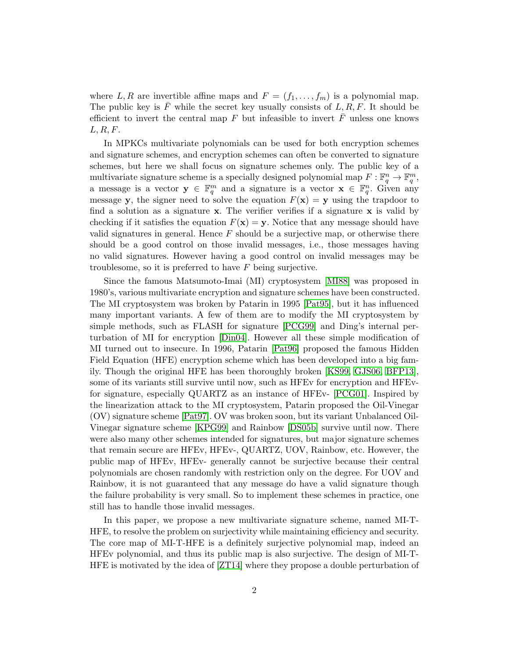where L, R are invertible affine maps and  $F = (f_1, \ldots, f_m)$  is a polynomial map. The public key is  $\overline{F}$  while the secret key usually consists of L, R, F. It should be efficient to invert the central map F but infeasible to invert  $\overline{F}$  unless one knows  $L, R, F$ .

In MPKCs multivariate polynomials can be used for both encryption schemes and signature schemes, and encryption schemes can often be converted to signature schemes, but here we shall focus on signature schemes only. The public key of a multivariate signature scheme is a specially designed polynomial map  $F: \mathbb{F}_q^n \to \mathbb{F}_q^m$ , a message is a vector  $y \in \mathbb{F}_q^m$  and a signature is a vector  $x \in \mathbb{F}_q^n$ . Given any message y, the signer need to solve the equation  $F(\mathbf{x}) = \mathbf{y}$  using the trapdoor to find a solution as a signature  $x$ . The verifier verifies if a signature  $x$  is valid by checking if it satisfies the equation  $F(\mathbf{x}) = \mathbf{y}$ . Notice that any message should have valid signatures in general. Hence  $F$  should be a surjective map, or otherwise there should be a good control on those invalid messages, i.e., those messages having no valid signatures. However having a good control on invalid messages may be troublesome, so it is preferred to have  $F$  being surjective.

Since the famous Matsumoto-Imai (MI) cryptosystem [\[MI88\]](#page-13-2) was proposed in 1980's, various multivariate encryption and signature schemes have been constructed. The MI cryptosystem was broken by Patarin in 1995 [\[Pat95\]](#page-13-3), but it has influenced many important variants. A few of them are to modify the MI cryptosystem by simple methods, such as FLASH for signature [\[PCG99\]](#page-13-4) and Ding's internal perturbation of MI for encryption [\[Din04\]](#page-12-0). However all these simple modification of MI turned out to insecure. In 1996, Patarin [\[Pat96\]](#page-13-5) proposed the famous Hidden Field Equation (HFE) encryption scheme which has been developed into a big family. Though the original HFE has been thoroughly broken [\[KS99,](#page-13-6) [GJS06,](#page-13-7) [BFP13\]](#page-12-1), some of its variants still survive until now, such as HFEv for encryption and HFEvfor signature, especially QUARTZ as an instance of HFEv- [\[PCG01\]](#page-13-8). Inspired by the linearization attack to the MI cryptosystem, Patarin proposed the Oil-Vinegar (OV) signature scheme [\[Pat97\]](#page-13-9). OV was broken soon, but its variant Unbalanced Oil-Vinegar signature scheme [\[KPG99\]](#page-13-10) and Rainbow [\[DS05b\]](#page-12-2) survive until now. There were also many other schemes intended for signatures, but major signature schemes that remain secure are HFEv, HFEv-, QUARTZ, UOV, Rainbow, etc. However, the public map of HFEv, HFEv- generally cannot be surjective because their central polynomials are chosen randomly with restriction only on the degree. For UOV and Rainbow, it is not guaranteed that any message do have a valid signature though the failure probability is very small. So to implement these schemes in practice, one still has to handle those invalid messages.

In this paper, we propose a new multivariate signature scheme, named MI-T-HFE, to resolve the problem on surjectivity while maintaining efficiency and security. The core map of MI-T-HFE is a definitely surjective polynomial map, indeed an HFEv polynomial, and thus its public map is also surjective. The design of MI-T-HFE is motivated by the idea of [\[ZT14\]](#page-13-11) where they propose a double perturbation of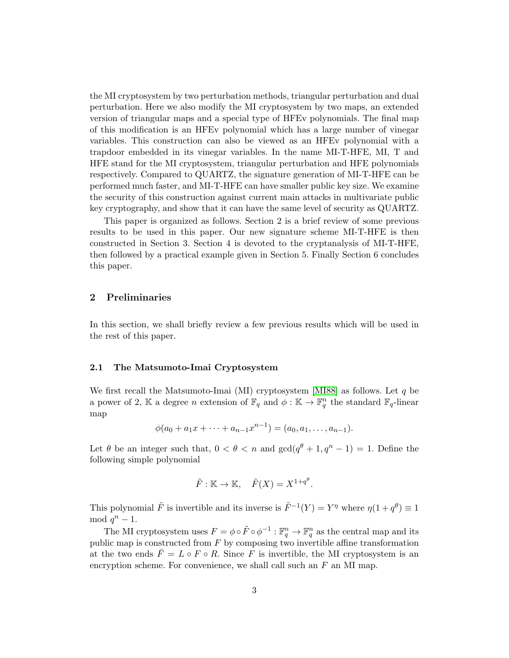the MI cryptosystem by two perturbation methods, triangular perturbation and dual perturbation. Here we also modify the MI cryptosystem by two maps, an extended version of triangular maps and a special type of HFEv polynomials. The final map of this modification is an HFEv polynomial which has a large number of vinegar variables. This construction can also be viewed as an HFEv polynomial with a trapdoor embedded in its vinegar variables. In the name MI-T-HFE, MI, T and HFE stand for the MI cryptosystem, triangular perturbation and HFE polynomials respectively. Compared to QUARTZ, the signature generation of MI-T-HFE can be performed much faster, and MI-T-HFE can have smaller public key size. We examine the security of this construction against current main attacks in multivariate public key cryptography, and show that it can have the same level of security as QUARTZ.

This paper is organized as follows. Section 2 is a brief review of some previous results to be used in this paper. Our new signature scheme MI-T-HFE is then constructed in Section 3. Section 4 is devoted to the cryptanalysis of MI-T-HFE, then followed by a practical example given in Section 5. Finally Section 6 concludes this paper.

# 2 Preliminaries

In this section, we shall briefly review a few previous results which will be used in the rest of this paper.

# 2.1 The Matsumoto-Imai Cryptosystem

We first recall the Matsumoto-Imai (MI) cryptosystem [\[MI88\]](#page-13-2) as follows. Let  $q$  be a power of 2, K a degree n extension of  $\mathbb{F}_q$  and  $\phi : \mathbb{K} \to \mathbb{F}_q^n$  the standard  $\mathbb{F}_q$ -linear map

$$
\phi(a_0 + a_1x + \dots + a_{n-1}x^{n-1}) = (a_0, a_1, \dots, a_{n-1}).
$$

Let  $\theta$  be an integer such that,  $0 < \theta < n$  and  $\gcd(q^{\theta} + 1, q^n - 1) = 1$ . Define the following simple polynomial

$$
\tilde{F}: \mathbb{K} \to \mathbb{K}, \quad \tilde{F}(X) = X^{1+q^{\theta}}.
$$

This polynomial  $\tilde{F}$  is invertible and its inverse is  $\tilde{F}^{-1}(Y) = Y^{\eta}$  where  $\eta(1+q^{\theta}) \equiv 1$ mod  $q^n - 1$ .

The MI cryptosystem uses  $F = \phi \circ \tilde{F} \circ \phi^{-1} : \mathbb{F}_q^n \to \mathbb{F}_q^n$  as the central map and its public map is constructed from  $F$  by composing two invertible affine transformation at the two ends  $\bar{F} = L \circ F \circ R$ . Since F is invertible, the MI cryptosystem is an encryption scheme. For convenience, we shall call such an  $F$  an MI map.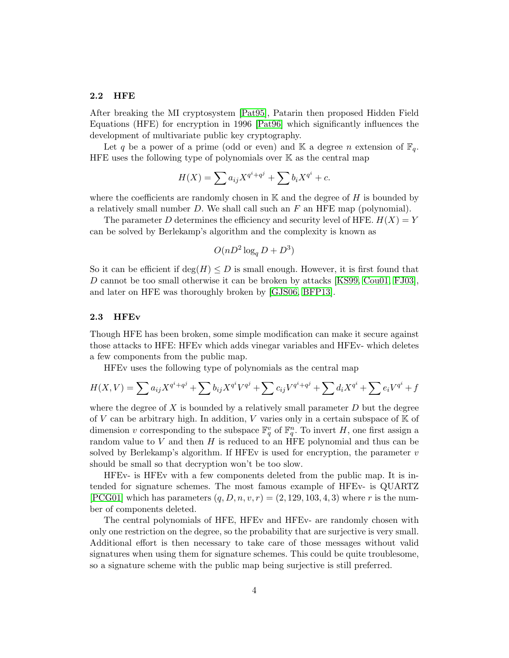## 2.2 HFE

After breaking the MI cryptosystem [\[Pat95\]](#page-13-3), Patarin then proposed Hidden Field Equations (HFE) for encryption in 1996 [\[Pat96\]](#page-13-5) which significantly influences the development of multivariate public key cryptography.

Let q be a power of a prime (odd or even) and K a degree n extension of  $\mathbb{F}_q$ . HFE uses the following type of polynomials over  $K$  as the central map

$$
H(X) = \sum a_{ij} X^{q^i + q^j} + \sum b_i X^{q^i} + c.
$$

where the coefficients are randomly chosen in  $\mathbb K$  and the degree of H is bounded by a relatively small number  $D$ . We shall call such an  $F$  an HFE map (polynomial).

The parameter D determines the efficiency and security level of HFE.  $H(X) = Y$ can be solved by Berlekamp's algorithm and the complexity is known as

$$
O(nD^2 \log_q D + D^3)
$$

So it can be efficient if  $\deg(H) \leq D$  is small enough. However, it is first found that D cannot be too small otherwise it can be broken by attacks [\[KS99,](#page-13-6) [Cou01,](#page-12-3) [FJ03\]](#page-13-12), and later on HFE was thoroughly broken by [\[GJS06,](#page-13-7) [BFP13\]](#page-12-1).

#### 2.3 HFEv

Though HFE has been broken, some simple modification can make it secure against those attacks to HFE: HFEv which adds vinegar variables and HFEv- which deletes a few components from the public map.

HFEv uses the following type of polynomials as the central map

$$
H(X, V) = \sum a_{ij} X^{q^i + q^j} + \sum b_{ij} X^{q^i} V^{q^j} + \sum c_{ij} V^{q^i + q^j} + \sum d_i X^{q^i} + \sum e_i V^{q^i} + f
$$

where the degree of X is bounded by a relatively small parameter  $D$  but the degree of V can be arbitrary high. In addition, V varies only in a certain subspace of  $K$  of dimension v corresponding to the subspace  $\mathbb{F}_q^v$  of  $\mathbb{F}_q^n$ . To invert H, one first assign a random value to  $V$  and then  $H$  is reduced to an HFE polynomial and thus can be solved by Berlekamp's algorithm. If HFEv is used for encryption, the parameter  $v$ should be small so that decryption won't be too slow.

HFEv- is HFEv with a few components deleted from the public map. It is intended for signature schemes. The most famous example of HFEv- is QUARTZ [\[PCG01\]](#page-13-8) which has parameters  $(q, D, n, v, r) = (2, 129, 103, 4, 3)$  where r is the number of components deleted.

The central polynomials of HFE, HFEv and HFEv- are randomly chosen with only one restriction on the degree, so the probability that are surjective is very small. Additional effort is then necessary to take care of those messages without valid signatures when using them for signature schemes. This could be quite troublesome, so a signature scheme with the public map being surjective is still preferred.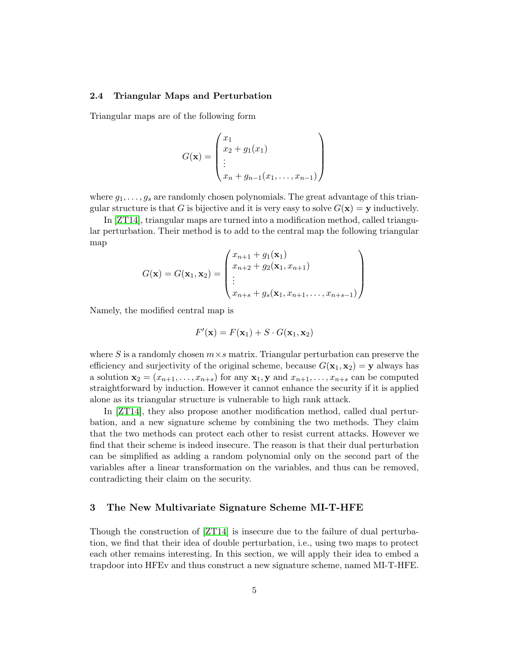#### 2.4 Triangular Maps and Perturbation

Triangular maps are of the following form

$$
G(\mathbf{x}) = \begin{pmatrix} x_1 \\ x_2 + g_1(x_1) \\ \vdots \\ x_n + g_{n-1}(x_1, \dots, x_{n-1}) \end{pmatrix}
$$

where  $g_1, \ldots, g_s$  are randomly chosen polynomials. The great advantage of this triangular structure is that G is bijective and it is very easy to solve  $G(\mathbf{x}) = \mathbf{y}$  inductively.

In [\[ZT14\]](#page-13-11), triangular maps are turned into a modification method, called triangular perturbation. Their method is to add to the central map the following triangular map

$$
G(\mathbf{x}) = G(\mathbf{x}_1, \mathbf{x}_2) = \begin{pmatrix} x_{n+1} + g_1(\mathbf{x}_1) \\ x_{n+2} + g_2(\mathbf{x}_1, x_{n+1}) \\ \vdots \\ x_{n+s} + g_s(\mathbf{x}_1, x_{n+1}, \dots, x_{n+s-1}) \end{pmatrix}
$$

Namely, the modified central map is

$$
F'(\mathbf{x}) = F(\mathbf{x}_1) + S \cdot G(\mathbf{x}_1, \mathbf{x}_2)
$$

where S is a randomly chosen  $m \times s$  matrix. Triangular perturbation can preserve the efficiency and surjectivity of the original scheme, because  $G(\mathbf{x}_1, \mathbf{x}_2) = \mathbf{y}$  always has a solution  $\mathbf{x}_2 = (x_{n+1}, \ldots, x_{n+s})$  for any  $\mathbf{x}_1, \mathbf{y}$  and  $x_{n+1}, \ldots, x_{n+s}$  can be computed straightforward by induction. However it cannot enhance the security if it is applied alone as its triangular structure is vulnerable to high rank attack.

In [\[ZT14\]](#page-13-11), they also propose another modification method, called dual perturbation, and a new signature scheme by combining the two methods. They claim that the two methods can protect each other to resist current attacks. However we find that their scheme is indeed insecure. The reason is that their dual perturbation can be simplified as adding a random polynomial only on the second part of the variables after a linear transformation on the variables, and thus can be removed, contradicting their claim on the security.

#### 3 The New Multivariate Signature Scheme MI-T-HFE

Though the construction of [\[ZT14\]](#page-13-11) is insecure due to the failure of dual perturbation, we find that their idea of double perturbation, i.e., using two maps to protect each other remains interesting. In this section, we will apply their idea to embed a trapdoor into HFEv and thus construct a new signature scheme, named MI-T-HFE.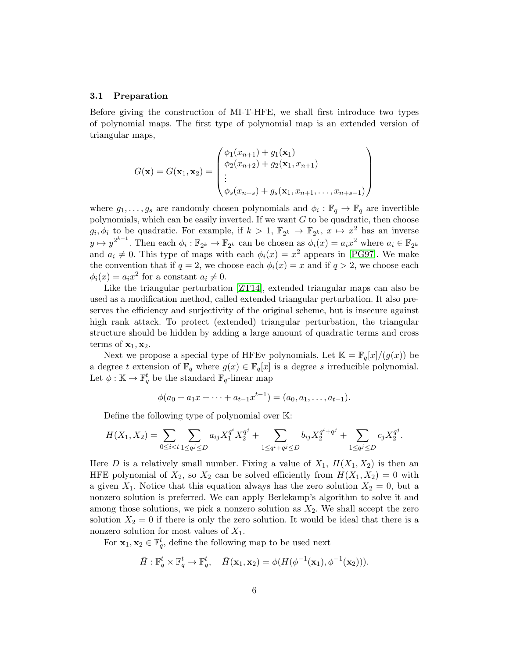#### 3.1 Preparation

Before giving the construction of MI-T-HFE, we shall first introduce two types of polynomial maps. The first type of polynomial map is an extended version of triangular maps,

$$
G(\mathbf{x}) = G(\mathbf{x}_1, \mathbf{x}_2) = \begin{pmatrix} \phi_1(x_{n+1}) + g_1(\mathbf{x}_1) \\ \phi_2(x_{n+2}) + g_2(\mathbf{x}_1, x_{n+1}) \\ \vdots \\ \phi_s(x_{n+s}) + g_s(\mathbf{x}_1, x_{n+1}, \dots, x_{n+s-1}) \end{pmatrix}
$$

where  $g_1, \ldots, g_s$  are randomly chosen polynomials and  $\phi_i : \mathbb{F}_q \to \mathbb{F}_q$  are invertible polynomials, which can be easily inverted. If we want  $G$  to be quadratic, then choose  $g_i, \phi_i$  to be quadratic. For example, if  $k > 1$ ,  $\mathbb{F}_{2^k} \to \mathbb{F}_{2^k}$ ,  $x \mapsto x^2$  has an inverse  $y \mapsto y^{2^{k-1}}$ . Then each  $\phi_i : \mathbb{F}_{2^k} \to \mathbb{F}_{2^k}$  can be chosen as  $\phi_i(x) = a_i x^2$  where  $a_i \in \mathbb{F}_{2^k}$ and  $a_i \neq 0$ . This type of maps with each  $\phi_i(x) = x^2$  appears in [\[PG97\]](#page-13-13). We make the convention that if  $q = 2$ , we choose each  $\phi_i(x) = x$  and if  $q > 2$ , we choose each  $\phi_i(x) = a_i x^2$  for a constant  $a_i \neq 0$ .

Like the triangular perturbation [\[ZT14\]](#page-13-11), extended triangular maps can also be used as a modification method, called extended triangular perturbation. It also preserves the efficiency and surjectivity of the original scheme, but is insecure against high rank attack. To protect (extended) triangular perturbation, the triangular structure should be hidden by adding a large amount of quadratic terms and cross terms of  $x_1, x_2$ .

Next we propose a special type of HFEv polynomials. Let  $\mathbb{K} = \mathbb{F}_q[x]/(g(x))$  be a degree t extension of  $\mathbb{F}_q$  where  $g(x) \in \mathbb{F}_q[x]$  is a degree s irreducible polynomial. Let  $\phi: \mathbb{K} \to \mathbb{F}_q^t$  be the standard  $\mathbb{F}_q$ -linear map

$$
\phi(a_0 + a_1x + \dots + a_{t-1}x^{t-1}) = (a_0, a_1, \dots, a_{t-1}).
$$

Define the following type of polynomial over K:

$$
H(X_1, X_2) = \sum_{0 \le i < t} \sum_{1 \le q^j \le D} a_{ij} X_1^{q^i} X_2^{q^j} + \sum_{1 \le q^i + q^j \le D} b_{ij} X_2^{q^i + q^j} + \sum_{1 \le q^j \le D} c_j X_2^{q^j}.
$$

Here D is a relatively small number. Fixing a value of  $X_1$ ,  $H(X_1, X_2)$  is then an HFE polynomial of  $X_2$ , so  $X_2$  can be solved efficiently from  $H(X_1, X_2) = 0$  with a given  $X_1$ . Notice that this equation always has the zero solution  $X_2 = 0$ , but a nonzero solution is preferred. We can apply Berlekamp's algorithm to solve it and among those solutions, we pick a nonzero solution as  $X_2$ . We shall accept the zero solution  $X_2 = 0$  if there is only the zero solution. It would be ideal that there is a nonzero solution for most values of  $X_1$ .

For  $\mathbf{x}_1, \mathbf{x}_2 \in \mathbb{F}_q^t$ , define the following map to be used next

$$
\overline{H}: \mathbb{F}_q^t \times \mathbb{F}_q^t \to \mathbb{F}_q^t, \quad \overline{H}(\mathbf{x}_1, \mathbf{x}_2) = \phi(H(\phi^{-1}(\mathbf{x}_1), \phi^{-1}(\mathbf{x}_2))).
$$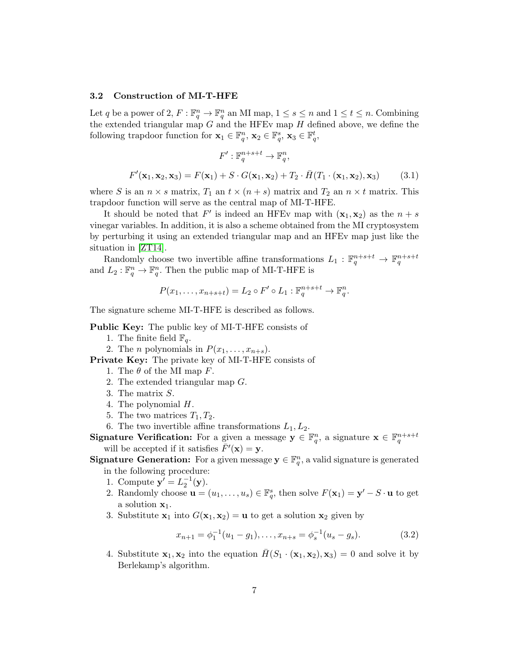#### 3.2 Construction of MI-T-HFE

Let q be a power of 2,  $F: \mathbb{F}_q^n \to \mathbb{F}_q^n$  an MI map,  $1 \le s \le n$  and  $1 \le t \le n$ . Combining the extended triangular map  $G$  and the HFEv map  $H$  defined above, we define the following trapdoor function for  $\mathbf{x}_1 \in \mathbb{F}_q^n$ ,  $\mathbf{x}_2 \in \mathbb{F}_q^s$ ,  $\mathbf{x}_3 \in \mathbb{F}_q^t$ ,

<span id="page-6-0"></span>
$$
F': \mathbb{F}_q^{n+s+t} \to \mathbb{F}_q^n,
$$
  

$$
F'(\mathbf{x}_1, \mathbf{x}_2, \mathbf{x}_3) = F(\mathbf{x}_1) + S \cdot G(\mathbf{x}_1, \mathbf{x}_2) + T_2 \cdot \bar{H}(T_1 \cdot (\mathbf{x}_1, \mathbf{x}_2), \mathbf{x}_3)
$$
(3.1)

where S is an  $n \times s$  matrix,  $T_1$  an  $t \times (n + s)$  matrix and  $T_2$  an  $n \times t$  matrix. This trapdoor function will serve as the central map of MI-T-HFE.

It should be noted that F' is indeed an HFEv map with  $(\mathbf{x}_1, \mathbf{x}_2)$  as the  $n + s$ vinegar variables. In addition, it is also a scheme obtained from the MI cryptosystem by perturbing it using an extended triangular map and an HFEv map just like the situation in [\[ZT14\]](#page-13-11).

Randomly choose two invertible affine transformations  $L_1 : \mathbb{F}_q^{n+s+t} \to \mathbb{F}_q^{n+s+t}$ and  $L_2: \mathbb{F}_q^n \to \mathbb{F}_q^n$ . Then the public map of MI-T-HFE is

$$
P(x_1, \ldots, x_{n+s+t}) = L_2 \circ F' \circ L_1 : \mathbb{F}_q^{n+s+t} \to \mathbb{F}_q^n.
$$

The signature scheme MI-T-HFE is described as follows.

Public Key: The public key of MI-T-HFE consists of

- 1. The finite field  $\mathbb{F}_q$ .
- 2. The *n* polynomials in  $P(x_1, \ldots, x_{n+s})$ .
- Private Key: The private key of MI-T-HFE consists of
	- 1. The  $\theta$  of the MI map F.
	- 2. The extended triangular map G.
	- 3. The matrix S.
	- 4. The polynomial H.
	- 5. The two matrices  $T_1, T_2$ .
	- 6. The two invertible affine transformations  $L_1, L_2$ .
- Signature Verification: For a given a message  $y \in \mathbb{F}_q^n$ , a signature  $\mathbf{x} \in \mathbb{F}_q^{n+s+t}$ will be accepted if it satisfies  $\bar{F}'(\mathbf{x}) = \mathbf{y}$ .
- **Signature Generation:** For a given message  $y \in \mathbb{F}_q^n$ , a valid signature is generated in the following procedure:
	- 1. Compute  $y' = L_2^{-1}(y)$ .
	- 2. Randomly choose  $\mathbf{u} = (u_1, \ldots, u_s) \in \mathbb{F}_q^s$ , then solve  $F(\mathbf{x}_1) = \mathbf{y}' S \cdot \mathbf{u}$  to get a solution  $x_1$ .
	- 3. Substitute  $\mathbf{x}_1$  into  $G(\mathbf{x}_1, \mathbf{x}_2) = \mathbf{u}$  to get a solution  $\mathbf{x}_2$  given by

$$
x_{n+1} = \phi_1^{-1}(u_1 - g_1), \dots, x_{n+s} = \phi_s^{-1}(u_s - g_s). \tag{3.2}
$$

4. Substitute  $\mathbf{x}_1, \mathbf{x}_2$  into the equation  $\bar{H}(S_1 \cdot (\mathbf{x}_1, \mathbf{x}_2), \mathbf{x}_3) = 0$  and solve it by Berlekamp's algorithm.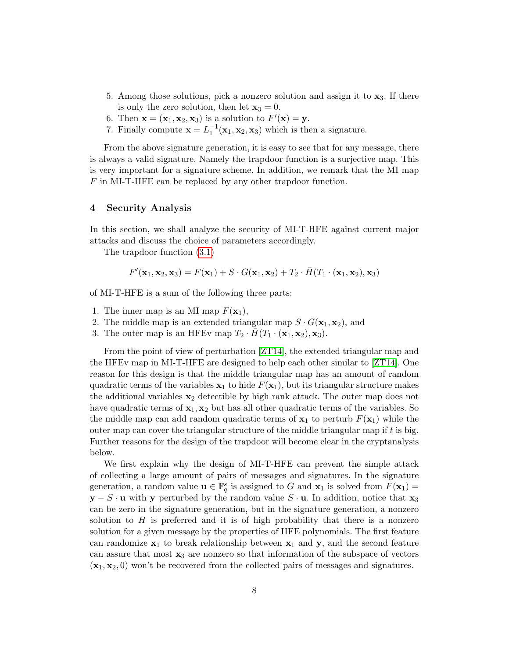- 5. Among those solutions, pick a nonzero solution and assign it to  $x_3$ . If there is only the zero solution, then let  $\mathbf{x}_3 = 0$ .
- 6. Then  $\mathbf{x} = (\mathbf{x}_1, \mathbf{x}_2, \mathbf{x}_3)$  is a solution to  $F'(\mathbf{x}) = \mathbf{y}$ .
- 7. Finally compute  $\mathbf{x} = L_1^{-1}(\mathbf{x}_1, \mathbf{x}_2, \mathbf{x}_3)$  which is then a signature.

From the above signature generation, it is easy to see that for any message, there is always a valid signature. Namely the trapdoor function is a surjective map. This is very important for a signature scheme. In addition, we remark that the MI map F in MI-T-HFE can be replaced by any other trapdoor function.

# 4 Security Analysis

In this section, we shall analyze the security of MI-T-HFE against current major attacks and discuss the choice of parameters accordingly.

The trapdoor function [\(3.1\)](#page-6-0)

$$
F'(\mathbf{x}_1, \mathbf{x}_2, \mathbf{x}_3) = F(\mathbf{x}_1) + S \cdot G(\mathbf{x}_1, \mathbf{x}_2) + T_2 \cdot \bar{H}(T_1 \cdot (\mathbf{x}_1, \mathbf{x}_2), \mathbf{x}_3)
$$

of MI-T-HFE is a sum of the following three parts:

- 1. The inner map is an MI map  $F(\mathbf{x}_1)$ ,
- 2. The middle map is an extended triangular map  $S \cdot G(\mathbf{x}_1, \mathbf{x}_2)$ , and
- 3. The outer map is an HFEv map  $T_2 \cdot H(T_1 \cdot (\mathbf{x}_1, \mathbf{x}_2), \mathbf{x}_3)$ .

From the point of view of perturbation [\[ZT14\]](#page-13-11), the extended triangular map and the HFEv map in MI-T-HFE are designed to help each other similar to [\[ZT14\]](#page-13-11). One reason for this design is that the middle triangular map has an amount of random quadratic terms of the variables  $x_1$  to hide  $F(x_1)$ , but its triangular structure makes the additional variables  $x_2$  detectible by high rank attack. The outer map does not have quadratic terms of  $x_1, x_2$  but has all other quadratic terms of the variables. So the middle map can add random quadratic terms of  $x_1$  to perturb  $F(x_1)$  while the outer map can cover the triangular structure of the middle triangular map if t is big. Further reasons for the design of the trapdoor will become clear in the cryptanalysis below.

We first explain why the design of MI-T-HFE can prevent the simple attack of collecting a large amount of pairs of messages and signatures. In the signature generation, a random value  $\mathbf{u} \in \mathbb{F}_q^s$  is assigned to G and  $\mathbf{x}_1$  is solved from  $F(\mathbf{x}_1) =$  $y - S \cdot u$  with y perturbed by the random value  $S \cdot u$ . In addition, notice that  $x_3$ can be zero in the signature generation, but in the signature generation, a nonzero solution to  $H$  is preferred and it is of high probability that there is a nonzero solution for a given message by the properties of HFE polynomials. The first feature can randomize  $x_1$  to break relationship between  $x_1$  and  $y$ , and the second feature can assure that most  $x_3$  are nonzero so that information of the subspace of vectors  $(\mathbf{x}_1, \mathbf{x}_2, 0)$  won't be recovered from the collected pairs of messages and signatures.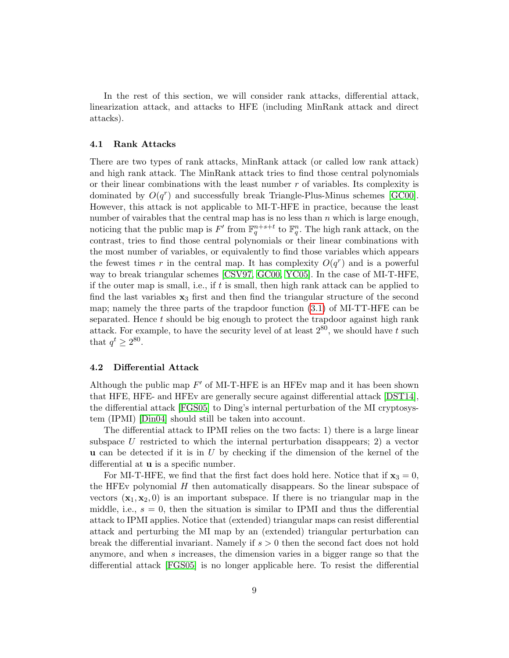In the rest of this section, we will consider rank attacks, differential attack, linearization attack, and attacks to HFE (including MinRank attack and direct attacks).

#### 4.1 Rank Attacks

There are two types of rank attacks, MinRank attack (or called low rank attack) and high rank attack. The MinRank attack tries to find those central polynomials or their linear combinations with the least number  $r$  of variables. Its complexity is dominated by  $O(q^r)$  and successfully break Triangle-Plus-Minus schemes [\[GC00\]](#page-13-14). However, this attack is not applicable to MI-T-HFE in practice, because the least number of vairables that the central map has is no less than  $n$  which is large enough, noticing that the public map is  $F'$  from  $\mathbb{F}_q^{n+s+t}$  to  $\mathbb{F}_q^n$ . The high rank attack, on the contrast, tries to find those central polynomials or their linear combinations with the most number of variables, or equivalently to find those variables which appears the fewest times r in the central map. It has complexity  $O(q^r)$  and is a powerful way to break triangular schemes [\[CSV97,](#page-12-4) [GC00,](#page-13-14) [YC05\]](#page-13-15). In the case of MI-T-HFE, if the outer map is small, i.e., if  $t$  is small, then high rank attack can be applied to find the last variables  $x_3$  first and then find the triangular structure of the second map; namely the three parts of the trapdoor function [\(3.1\)](#page-6-0) of MI-TT-HFE can be separated. Hence  $t$  should be big enough to protect the trapdoor against high rank attack. For example, to have the security level of at least  $2^{80}$ , we should have t such that  $q^t \geq 2^{80}$ .

#### 4.2 Differential Attack

Although the public map  $F'$  of MI-T-HFE is an HFEv map and it has been shown that HFE, HFE- and HFEv are generally secure against differential attack [\[DST14\]](#page-13-16), the differential attack [\[FGS05\]](#page-13-17) to Ding's internal perturbation of the MI cryptosystem (IPMI) [\[Din04\]](#page-12-0) should still be taken into account.

The differential attack to IPMI relies on the two facts: 1) there is a large linear subspace U restricted to which the internal perturbation disappears; 2) a vector **u** can be detected if it is in  $U$  by checking if the dimension of the kernel of the differential at **u** is a specific number.

For MI-T-HFE, we find that the first fact does hold here. Notice that if  $\mathbf{x}_3 = 0$ , the HFEv polynomial  $H$  then automatically disappears. So the linear subspace of vectors  $(x_1, x_2, 0)$  is an important subspace. If there is no triangular map in the middle, i.e.,  $s = 0$ , then the situation is similar to IPMI and thus the differential attack to IPMI applies. Notice that (extended) triangular maps can resist differential attack and perturbing the MI map by an (extended) triangular perturbation can break the differential invariant. Namely if  $s > 0$  then the second fact does not hold anymore, and when s increases, the dimension varies in a bigger range so that the differential attack [\[FGS05\]](#page-13-17) is no longer applicable here. To resist the differential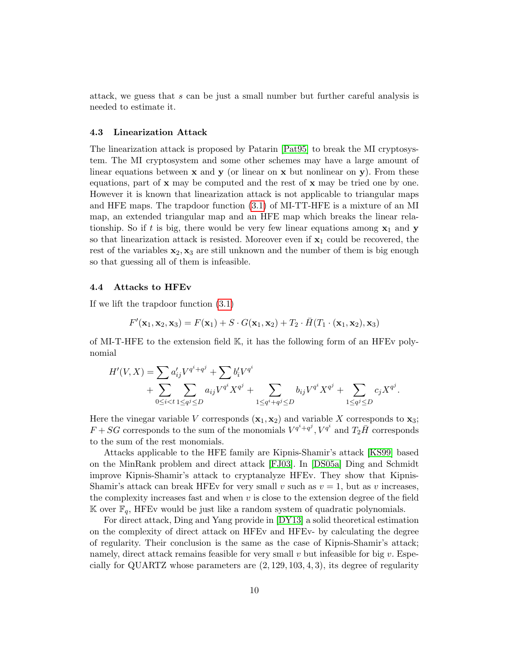attack, we guess that s can be just a small number but further careful analysis is needed to estimate it.

# 4.3 Linearization Attack

The linearization attack is proposed by Patarin [\[Pat95\]](#page-13-3) to break the MI cryptosystem. The MI cryptosystem and some other schemes may have a large amount of linear equations between  $x$  and  $y$  (or linear on  $x$  but nonlinear on  $y$ ). From these equations, part of  $x$  may be computed and the rest of  $x$  may be tried one by one. However it is known that linearization attack is not applicable to triangular maps and HFE maps. The trapdoor function [\(3.1\)](#page-6-0) of MI-TT-HFE is a mixture of an MI map, an extended triangular map and an HFE map which breaks the linear relationship. So if t is big, there would be very few linear equations among  $x_1$  and y so that linearization attack is resisted. Moreover even if  $x_1$  could be recovered, the rest of the variables  $x_2, x_3$  are still unknown and the number of them is big enough so that guessing all of them is infeasible.

#### 4.4 Attacks to HFEv

If we lift the trapdoor function [\(3.1\)](#page-6-0)

$$
F'(\mathbf{x}_1, \mathbf{x}_2, \mathbf{x}_3) = F(\mathbf{x}_1) + S \cdot G(\mathbf{x}_1, \mathbf{x}_2) + T_2 \cdot \bar{H}(T_1 \cdot (\mathbf{x}_1, \mathbf{x}_2), \mathbf{x}_3)
$$

of MI-T-HFE to the extension field K, it has the following form of an HFEv polynomial

$$
H'(V, X) = \sum a'_{ij} V^{q^i + q^j} + \sum b'_{i} V^{q^i}
$$
  
+ 
$$
\sum_{0 \le i < t} \sum_{1 \le q^j \le D} a_{ij} V^{q^i} X^{q^j} + \sum_{1 \le q^i + q^j \le D} b_{ij} V^{q^i} X^{q^j} + \sum_{1 \le q^j \le D} c_j X^{q^j}.
$$

Here the vinegar variable V corresponds  $(\mathbf{x}_1, \mathbf{x}_2)$  and variable X corresponds to  $\mathbf{x}_3$ ;  $F + SG$  corresponds to the sum of the monomials  $V^{q^i+q^j}$ ,  $V^{q^i}$  and  $T_2\overline{H}$  corresponds to the sum of the rest monomials.

Attacks applicable to the HFE family are Kipnis-Shamir's attack [\[KS99\]](#page-13-6) based on the MinRank problem and direct attack [\[FJ03\]](#page-13-12). In [\[DS05a\]](#page-12-5) Ding and Schmidt improve Kipnis-Shamir's attack to cryptanalyze HFEv. They show that Kipnis-Shamir's attack can break HFEv for very small v such as  $v = 1$ , but as v increases, the complexity increases fast and when  $v$  is close to the extension degree of the field K over  $\mathbb{F}_q$ , HFEv would be just like a random system of quadratic polynomials.

For direct attack, Ding and Yang provide in [\[DY13\]](#page-13-18) a solid theoretical estimation on the complexity of direct attack on HFEv and HFEv- by calculating the degree of regularity. Their conclusion is the same as the case of Kipnis-Shamir's attack; namely, direct attack remains feasible for very small  $v$  but infeasible for big  $v$ . Especially for QUARTZ whose parameters are  $(2, 129, 103, 4, 3)$ , its degree of regularity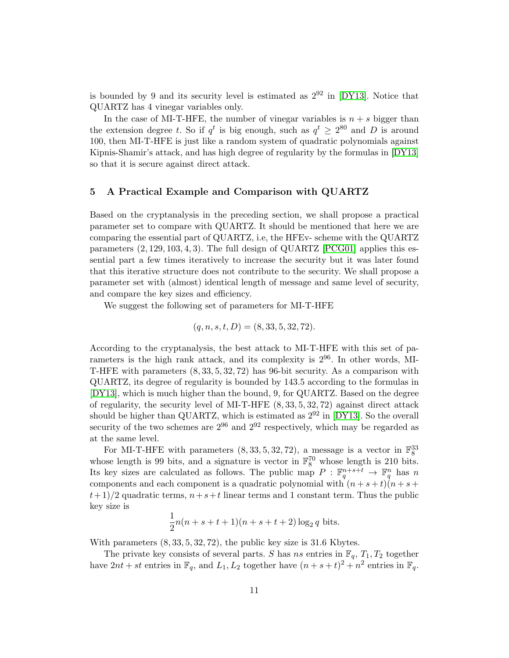is bounded by 9 and its security level is estimated as  $2^{92}$  in [\[DY13\]](#page-13-18). Notice that QUARTZ has 4 vinegar variables only.

In the case of MI-T-HFE, the number of vinegar variables is  $n + s$  bigger than the extension degree t. So if  $q^t$  is big enough, such as  $q^t \geq 2^{80}$  and D is around 100, then MI-T-HFE is just like a random system of quadratic polynomials against Kipnis-Shamir's attack, and has high degree of regularity by the formulas in [\[DY13\]](#page-13-18) so that it is secure against direct attack.

# 5 A Practical Example and Comparison with QUARTZ

Based on the cryptanalysis in the preceding section, we shall propose a practical parameter set to compare with QUARTZ. It should be mentioned that here we are comparing the essential part of QUARTZ, i.e, the HFEv- scheme with the QUARTZ parameters  $(2, 129, 103, 4, 3)$ . The full design of QUARTZ [\[PCG01\]](#page-13-8) applies this essential part a few times iteratively to increase the security but it was later found that this iterative structure does not contribute to the security. We shall propose a parameter set with (almost) identical length of message and same level of security, and compare the key sizes and efficiency.

We suggest the following set of parameters for MI-T-HFE

$$
(q, n, s, t, D) = (8, 33, 5, 32, 72).
$$

According to the cryptanalysis, the best attack to MI-T-HFE with this set of parameters is the high rank attack, and its complexity is  $2^{96}$ . In other words, MI-T-HFE with parameters (8, 33, 5, 32, 72) has 96-bit security. As a comparison with QUARTZ, its degree of regularity is bounded by 143.5 according to the formulas in [\[DY13\]](#page-13-18), which is much higher than the bound, 9, for QUARTZ. Based on the degree of regularity, the security level of MI-T-HFE (8, 33, 5, 32, 72) against direct attack should be higher than QUARTZ, which is estimated as  $2^{92}$  in [\[DY13\]](#page-13-18). So the overall security of the two schemes are  $2^{96}$  and  $2^{92}$  respectively, which may be regarded as at the same level.

For MI-T-HFE with parameters  $(8, 33, 5, 32, 72)$ , a message is a vector in  $\mathbb{F}_8^{33}$ whose length is 99 bits, and a signature is vector in  $\mathbb{F}_8^{70}$  whose length is 210 bits. Its key sizes are calculated as follows. The public map  $P : \mathbb{F}_q^{n+s+t} \to \mathbb{F}_q^n$  has n components and each component is a quadratic polynomial with  $(n+s+t)(n+s+t)$  $(t+1)/2$  quadratic terms,  $n+s+t$  linear terms and 1 constant term. Thus the public key size is

$$
\frac{1}{2}n(n+s+t+1)(n+s+t+2)\log_2 q \text{ bits.}
$$

With parameters  $(8, 33, 5, 32, 72)$ , the public key size is 31.6 Kbytes.

The private key consists of several parts. S has ns entries in  $\mathbb{F}_q$ ,  $T_1, T_2$  together have  $2nt + st$  entries in  $\mathbb{F}_q$ , and  $L_1, L_2$  together have  $(n + s + t)^2 + n^2$  entries in  $\mathbb{F}_q$ .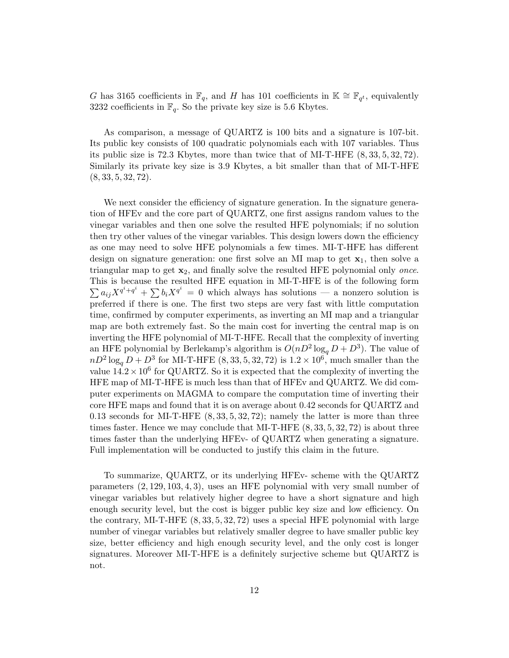G has 3165 coefficients in  $\mathbb{F}_q$ , and H has 101 coefficients in  $\mathbb{K} \cong \mathbb{F}_{q^t}$ , equivalently 3232 coefficients in  $\mathbb{F}_q$ . So the private key size is 5.6 Kbytes.

As comparison, a message of QUARTZ is 100 bits and a signature is 107-bit. Its public key consists of 100 quadratic polynomials each with 107 variables. Thus its public size is 72.3 Kbytes, more than twice that of MI-T-HFE (8, 33, 5, 32, 72). Similarly its private key size is 3.9 Kbytes, a bit smaller than that of MI-T-HFE  $(8, 33, 5, 32, 72).$ 

We next consider the efficiency of signature generation. In the signature generation of HFEv and the core part of QUARTZ, one first assigns random values to the vinegar variables and then one solve the resulted HFE polynomials; if no solution then try other values of the vinegar variables. This design lowers down the efficiency as one may need to solve HFE polynomials a few times. MI-T-HFE has different design on signature generation: one first solve an MI map to get  $x_1$ , then solve a triangular map to get  $x_2$ , and finally solve the resulted HFE polynomial only once. This is because the resulted HFE equation in MI-T-HFE is of the following form  $\sum a_{ij}X^{q^i+q^i} + \sum b_iX^{q^i} = 0$  which always has solutions — a nonzero solution is preferred if there is one. The first two steps are very fast with little computation time, confirmed by computer experiments, as inverting an MI map and a triangular map are both extremely fast. So the main cost for inverting the central map is on inverting the HFE polynomial of MI-T-HFE. Recall that the complexity of inverting an HFE polynomial by Berlekamp's algorithm is  $O(nD^2 \log_q D + D^3)$ . The value of  $nD^2 \log_q D + D^3$  for MI-T-HFE  $(8, 33, 5, 32, 72)$  is  $1.2 \times 10^6$ , much smaller than the value  $14.2 \times 10^6$  for QUARTZ. So it is expected that the complexity of inverting the HFE map of MI-T-HFE is much less than that of HFEv and QUARTZ. We did computer experiments on MAGMA to compare the computation time of inverting their core HFE maps and found that it is on average about 0.42 seconds for QUARTZ and 0.13 seconds for MI-T-HFE  $(8, 33, 5, 32, 72)$ ; namely the latter is more than three times faster. Hence we may conclude that MI-T-HFE  $(8, 33, 5, 32, 72)$  is about three times faster than the underlying HFEv- of QUARTZ when generating a signature. Full implementation will be conducted to justify this claim in the future.

To summarize, QUARTZ, or its underlying HFEv- scheme with the QUARTZ parameters (2, 129, 103, 4, 3), uses an HFE polynomial with very small number of vinegar variables but relatively higher degree to have a short signature and high enough security level, but the cost is bigger public key size and low efficiency. On the contrary, MI-T-HFE  $(8, 33, 5, 32, 72)$  uses a special HFE polynomial with large number of vinegar variables but relatively smaller degree to have smaller public key size, better efficiency and high enough security level, and the only cost is longer signatures. Moreover MI-T-HFE is a definitely surjective scheme but QUARTZ is not.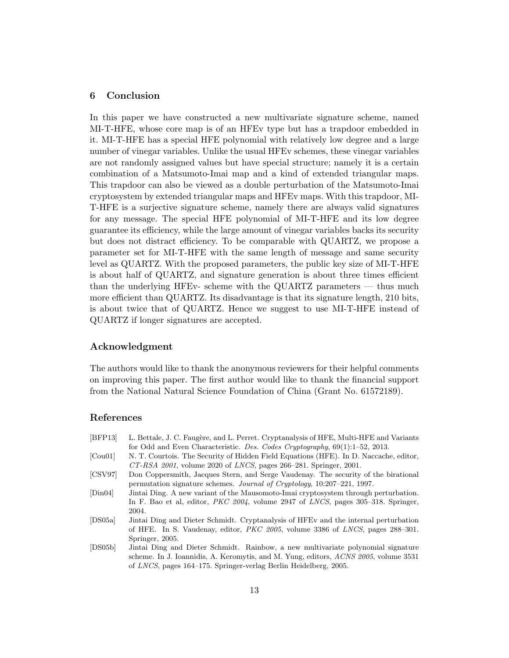## 6 Conclusion

In this paper we have constructed a new multivariate signature scheme, named MI-T-HFE, whose core map is of an HFEv type but has a trapdoor embedded in it. MI-T-HFE has a special HFE polynomial with relatively low degree and a large number of vinegar variables. Unlike the usual HFEv schemes, these vinegar variables are not randomly assigned values but have special structure; namely it is a certain combination of a Matsumoto-Imai map and a kind of extended triangular maps. This trapdoor can also be viewed as a double perturbation of the Matsumoto-Imai cryptosystem by extended triangular maps and HFEv maps. With this trapdoor, MI-T-HFE is a surjective signature scheme, namely there are always valid signatures for any message. The special HFE polynomial of MI-T-HFE and its low degree guarantee its efficiency, while the large amount of vinegar variables backs its security but does not distract efficiency. To be comparable with QUARTZ, we propose a parameter set for MI-T-HFE with the same length of message and same security level as QUARTZ. With the proposed parameters, the public key size of MI-T-HFE is about half of QUARTZ, and signature generation is about three times efficient than the underlying HFEv- scheme with the QUARTZ parameters — thus much more efficient than QUARTZ. Its disadvantage is that its signature length, 210 bits, is about twice that of QUARTZ. Hence we suggest to use MI-T-HFE instead of QUARTZ if longer signatures are accepted.

# Acknowledgment

The authors would like to thank the anonymous reviewers for their helpful comments on improving this paper. The first author would like to thank the financial support from the National Natural Science Foundation of China (Grant No. 61572189).

#### References

- <span id="page-12-1"></span>[BFP13] L. Bettale, J. C. Faugère, and L. Perret. Cryptanalysis of HFE, Multi-HFE and Variants for Odd and Even Characteristic. Des. Codes Cryptography, 69(1):1–52, 2013.
- <span id="page-12-3"></span>[Cou01] N. T. Courtois. The Security of Hidden Field Equations (HFE). In D. Naccache, editor, CT-RSA 2001, volume 2020 of LNCS, pages 266–281. Springer, 2001.
- <span id="page-12-4"></span>[CSV97] Don Coppersmith, Jacques Stern, and Serge Vaudenay. The security of the birational permutation signature schemes. Journal of Cryptology, 10:207–221, 1997.
- <span id="page-12-0"></span>[Din04] Jintai Ding. A new variant of the Mausomoto-Imai cryptosystem through perturbation. In F. Bao et al, editor, PKC 2004, volume 2947 of LNCS, pages 305–318. Springer, 2004.
- <span id="page-12-5"></span>[DS05a] Jintai Ding and Dieter Schmidt. Cryptanalysis of HFEv and the internal perturbation of HFE. In S. Vaudenay, editor, PKC 2005, volume 3386 of LNCS, pages 288–301. Springer, 2005.
- <span id="page-12-2"></span>[DS05b] Jintai Ding and Dieter Schmidt. Rainbow, a new multivariate polynomial signature scheme. In J. Ioannidis, A. Keromytis, and M. Yung, editors, ACNS 2005, volume 3531 of LNCS, pages 164–175. Springer-verlag Berlin Heidelberg, 2005.